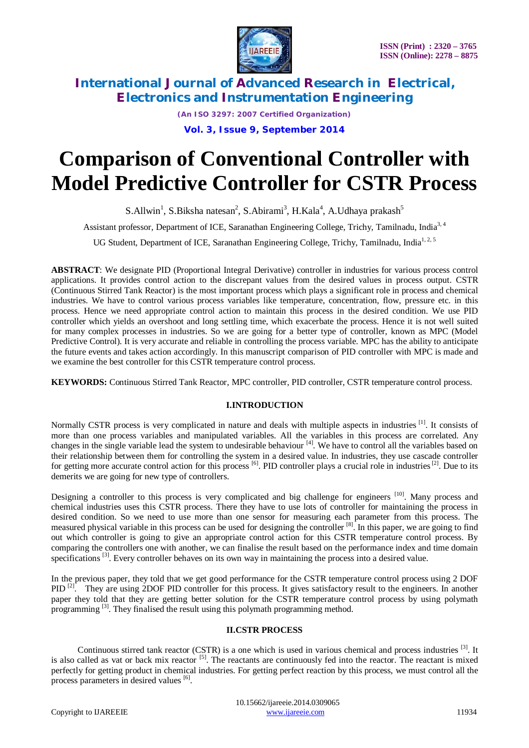

*(An ISO 3297: 2007 Certified Organization)* **Vol. 3, Issue 9, September 2014**

# **Comparison of Conventional Controller with Model Predictive Controller for CSTR Process**

S.Allwin<sup>1</sup>, S.Biksha natesan<sup>2</sup>, S.Abirami<sup>3</sup>, H.Kala<sup>4</sup>, A.Udhaya prakash<sup>5</sup>

Assistant professor, Department of ICE, Saranathan Engineering College, Trichy, Tamilnadu, India<sup>3, 4</sup>

UG Student, Department of ICE, Saranathan Engineering College, Trichy, Tamilnadu, India<sup>1,2,5</sup>

**ABSTRACT**: We designate PID (Proportional Integral Derivative) controller in industries for various process control applications. It provides control action to the discrepant values from the desired values in process output. CSTR (Continuous Stirred Tank Reactor) is the most important process which plays a significant role in process and chemical industries. We have to control various process variables like temperature, concentration, flow, pressure etc. in this process. Hence we need appropriate control action to maintain this process in the desired condition. We use PID controller which yields an overshoot and long settling time, which exacerbate the process. Hence it is not well suited for many complex processes in industries. So we are going for a better type of controller, known as MPC (Model Predictive Control). It is very accurate and reliable in controlling the process variable. MPC has the ability to anticipate the future events and takes action accordingly. In this manuscript comparison of PID controller with MPC is made and we examine the best controller for this CSTR temperature control process.

**KEYWORDS:** Continuous Stirred Tank Reactor, MPC controller, PID controller, CSTR temperature control process.

# **I.INTRODUCTION**

Normally CSTR process is very complicated in nature and deals with multiple aspects in industries [1]. It consists of more than one process variables and manipulated variables. All the variables in this process are correlated. Any changes in the single variable lead the system to undesirable behaviour  $[4]$ . We have to control all the variables based on their relationship between them for controlling the system in a desired value. In industries, they use cascade controller for getting more accurate control action for this process  $\left[6\right]$ . PID controller plays a crucial role in industries  $\left[2\right]$ . Due to its demerits we are going for new type of controllers.

Designing a controller to this process is very complicated and big challenge for engineers <sup>[10]</sup>. Many process and chemical industries uses this CSTR process. There they have to use lots of controller for maintaining the process in desired condition. So we need to use more than one sensor for measuring each parameter from this process. The measured physical variable in this process can be used for designing the controller [8]. In this paper, we are going to find out which controller is going to give an appropriate control action for this CSTR temperature control process. By comparing the controllers one with another, we can finalise the result based on the performance index and time domain specifications<sup>[3]</sup>. Every controller behaves on its own way in maintaining the process into a desired value.

In the previous paper, they told that we get good performance for the CSTR temperature control process using 2 DOF PID<sup>[2]</sup>. They are using 2DOF PID controller for this process. It gives satisfactory result to the engineers. In another paper they told that they are getting better solution for the CSTR temperature control process by using polymath programming <sup>[3]</sup>. They finalised the result using this polymath programming method.

# **II.CSTR PROCESS**

Continuous stirred tank reactor (CSTR) is a one which is used in various chemical and process industries [3]. It is also called as vat or back mix reactor <sup>[5]</sup>. The reactants are continuously fed into the reactor. The reactant is mixed perfectly for getting product in chemical industries. For getting perfect reaction by this process, we must control all the process parameters in desired values [6].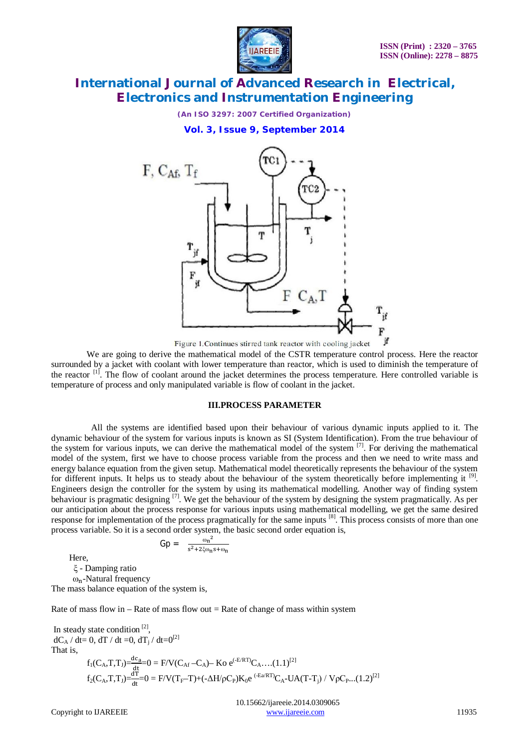

*(An ISO 3297: 2007 Certified Organization)*

**Vol. 3, Issue 9, September 2014**



Figure 1. Continues stirred tank reactor with cooling jacket

 We are going to derive the mathematical model of the CSTR temperature control process. Here the reactor surrounded by a jacket with coolant with lower temperature than reactor, which is used to diminish the temperature of the reactor <sup>[1]</sup>. The flow of coolant around the jacket determines the process temperature. Here controlled variable is temperature of process and only manipulated variable is flow of coolant in the jacket.

### **III.PROCESS PARAMETER**

 All the systems are identified based upon their behaviour of various dynamic inputs applied to it. The dynamic behaviour of the system for various inputs is known as SI (System Identification). From the true behaviour of the system for various inputs, we can derive the mathematical model of the system  $^{[7]}$ . For deriving the mathematical model of the system, first we have to choose process variable from the process and then we need to write mass and energy balance equation from the given setup. Mathematical model theoretically represents the behaviour of the system for different inputs. It helps us to steady about the behaviour of the system theoretically before implementing it [9]. Engineers design the controller for the system by using its mathematical modelling. Another way of finding system behaviour is pragmatic designing <sup>[7]</sup>. We get the behaviour of the system by designing the system pragmatically. As per our anticipation about the process response for various inputs using mathematical modelling, we get the same desired response for implementation of the process pragmatically for the same inputs [8]. This process consists of more than one process variable. So it is a second order system, the basic second order equation is,

 $Gp = \frac{\omega_n^2}{\omega_n^2 + \omega_n^2}$  $s^2+2\xi\omega_n s+\omega_n$ 

 Here, ξ - Damping ratio  $ω_n$ -Natural frequency The mass balance equation of the system is,

Rate of mass flow in – Rate of mass flow out  $=$  Rate of change of mass within system

In steady state condition  $[2]$ ,  $dC_A / dt = 0$ ,  $dT / dt = 0$ ,  $dT_j / dt = 0^{[2]}$ That is,  $f_1(C_A, T, T_J) = \frac{d c_a}{dt} = 0 = F/V(C_{Af} - C_A) - K_0 e^{(-E/RT)} C_A$ ....(1.1)<sup>[2]</sup>  $f_2(C_A, T, T_J) = \frac{dT}{dt} = 0 = F/V(T_F - T) + (-\Delta H/\rho C_P)K_0e^{(-E_a/RT)}C_A - UA(T-T_j) / V\rho C_P ... (1.2)^{[2]}$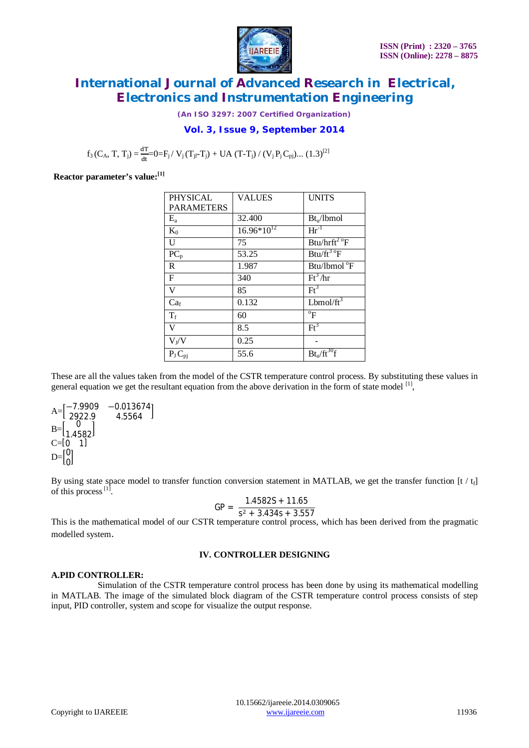

*(An ISO 3297: 2007 Certified Organization)*

# **Vol. 3, Issue 9, September 2014**

 $f_3(C_A, T, T_j) = \frac{dT}{dt} = 0 = F_j / V_j(T_{jr}T_j) + UA (T-T_j) / (V_j P_j C_{pj}) ... (1.3)^{[2]}$ 

**Reactor parameter's value:[1]**

| <b>PHYSICAL</b>         | <b>VALUES</b>   | <b>UNITS</b>                        |
|-------------------------|-----------------|-------------------------------------|
| <b>PARAMETERS</b>       |                 |                                     |
| $E_{a}$                 | 32.400          | Bt <sub>u</sub> /lbmol              |
| $K_0$                   | $16.96*10^{12}$ | $\text{Hr}^{-1}$                    |
| U                       | 75              | $Btu/hrft^2$ <sup>o</sup> F         |
| $PC_p$                  | 53.25           | $Btu/ft^3$ <sup>o</sup> F           |
| $\mathbf R$             | 1.987           | Btu/lbmol <sup>o</sup> F            |
| $\mathbf F$             | 340             | $Ft^3/hr$                           |
| V                       | 85              | $\text{Ft}^3$                       |
| Ca <sub>f</sub>         | 0.132           | Lbmol/ $ft^3$                       |
| $T_f$                   | 60              | $\mathrm{P}^{\mathrm{o}}$           |
| V                       | 8.5             | $Ft^3$                              |
| $V_J/V$                 | 0.25            |                                     |
| $\overline{P_J C_{pj}}$ | 55.6            | Bt <sub>u</sub> /ft <sup>30</sup> f |

These are all the values taken from the model of the CSTR temperature control process. By substituting these values in general equation we get the resultant equation from the above derivation in the form of state model [1],

$$
A = \begin{bmatrix} -7.9909 & -0.013674 \\ 2922.9 & 4.5564 \end{bmatrix}
$$
  
\n
$$
B = \begin{bmatrix} 0 \\ 1.4582 \end{bmatrix}
$$
  
\n
$$
C = \begin{bmatrix} 0 & 1 \end{bmatrix}
$$
  
\n
$$
D = \begin{bmatrix} 0 \\ 0 \end{bmatrix}
$$

By using state space model to transfer function conversion statement in MATLAB, we get the transfer function  $[t / t_f]$ of this process<sup>[1]</sup>.

$$
GP = \frac{1.4582S + 11.65}{S^2 + 3.434S + 3.557}
$$

This is the mathematical model of our CSTR temperature control process, which has been derived from the pragmatic modelled system.

### **IV. CONTROLLER DESIGNING**

#### **A.PID CONTROLLER:**

 Simulation of the CSTR temperature control process has been done by using its mathematical modelling in MATLAB. The image of the simulated block diagram of the CSTR temperature control process consists of step input, PID controller, system and scope for visualize the output response.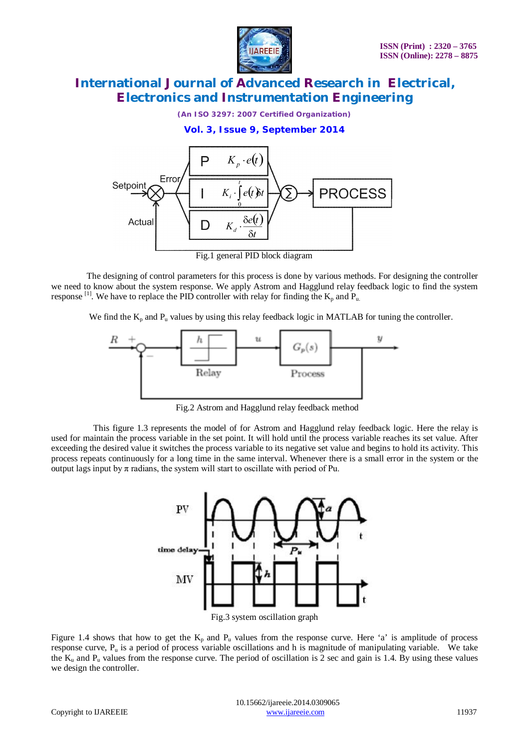

*(An ISO 3297: 2007 Certified Organization)*

**Vol. 3, Issue 9, September 2014**



Fig.1 general PID block diagram

 The designing of control parameters for this process is done by various methods. For designing the controller we need to know about the system response. We apply Astrom and Hagglund relay feedback logic to find the system response <sup>[1]</sup>. We have to replace the PID controller with relay for finding the  $K_p$  and  $P_u$ .

We find the  $K_p$  and  $P_u$  values by using this relay feedback logic in MATLAB for tuning the controller.



Fig.2 Astrom and Hagglund relay feedback method

 This figure 1.3 represents the model of for Astrom and Hagglund relay feedback logic. Here the relay is used for maintain the process variable in the set point. It will hold until the process variable reaches its set value. After exceeding the desired value it switches the process variable to its negative set value and begins to hold its activity. This process repeats continuously for a long time in the same interval. Whenever there is a small error in the system or the output lags input by π radians, the system will start to oscillate with period of Pu.



Figure 1.4 shows that how to get the  $K_p$  and  $P_u$  values from the response curve. Here 'a' is amplitude of process response curve,  $P_u$  is a period of process variable oscillations and h is magnitude of manipulating variable. We take the  $K_u$  and  $P_u$  values from the response curve. The period of oscillation is 2 sec and gain is 1.4. By using these values we design the controller.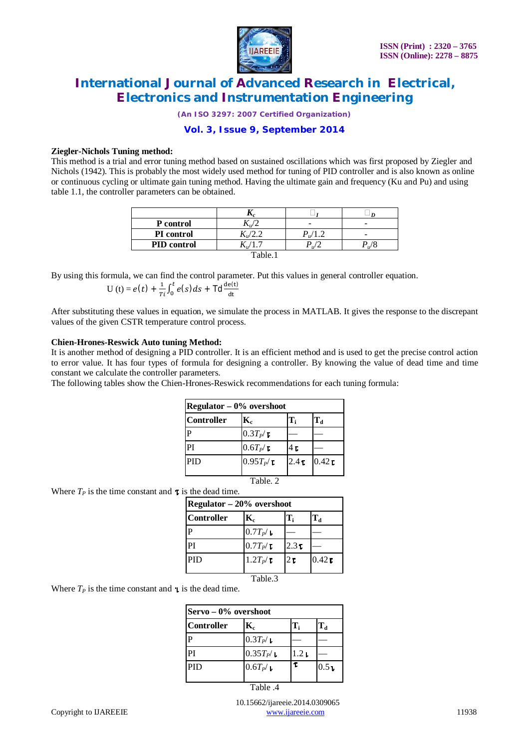

*(An ISO 3297: 2007 Certified Organization)*

**Vol. 3, Issue 9, September 2014**

### **Ziegler-Nichols Tuning method:**

This method is a trial and error tuning method based on sustained oscillations which was first proposed by Ziegler and Nichols (1942). This is probably the most widely used method for tuning of PID controller and is also known as online or continuous cycling or ultimate gain tuning method. Having the ultimate gain and frequency (Ku and Pu) and using table 1.1, the controller parameters can be obtained.

| P control                    | $\mathbf{I} \mathbf{v}$ | -             |  |
|------------------------------|-------------------------|---------------|--|
| PI control                   | $\mathbf{L} \mathbf{L}$ | $P_{\mu}/1.2$ |  |
| <b>PID</b> control           |                         | $\mathbf{u}$  |  |
| $\mathsf{T}_\mathsf{able}$ . |                         |               |  |

By using this formula, we can find the control parameter. Put this values in general controller equation.  $\mathbf 1$  $de(t)$ ௧

$$
U(t) = e(t) + \frac{1}{T_i} \int_0^t e(s) ds + \text{Td}\frac{d e(t)}{dt}
$$

After substituting these values in equation, we simulate the process in MATLAB. It gives the response to the discrepant values of the given CSTR temperature control process.

### **Chien-Hrones-Reswick Auto tuning Method:**

It is another method of designing a PID controller. It is an efficient method and is used to get the precise control action to error value. It has four types of formula for designing a controller. By knowing the value of dead time and time constant we calculate the controller parameters.

The following tables show the Chien-Hrones-Reswick recommendations for each tuning formula:

| Regulator $-0\%$ overshoot |                           |                  |                    |
|----------------------------|---------------------------|------------------|--------------------|
| <b>Controller</b>          | $\mathbf{K}_{\mathrm{c}}$ | T.               | $T_{d}$            |
|                            | $0.3T_P$ /                |                  |                    |
| PI                         | $0.6T_P$ /                | 4 т              |                    |
| <b>PID</b>                 | $0.95T_P$                 | 2.4 <sub>T</sub> | $0.42\,\mathrm{L}$ |

Table. 2

| Where $T_p$ is the time constant and $\tau$ is the dead time. |                             |                  |                  |                    |
|---------------------------------------------------------------|-----------------------------|------------------|------------------|--------------------|
|                                                               | Regulator $-20\%$ overshoot |                  |                  |                    |
|                                                               | <b>Controller</b>           | $\mathbf{K}_{c}$ | T,               | $\mathbf{T_d}$     |
|                                                               |                             | $0.7T_{P}$       |                  |                    |
|                                                               | PI                          | $0.7T_P/\top$    | 2.3 <sub>T</sub> |                    |
|                                                               | PID                         | $1.2T_P$ /T      | 2r               | $0.42\,\mathrm{r}$ |

Table.3

Where  $T<sub>P</sub>$  is the time constant and is the dead time.

| Servo – 0% overshoot |               |       |                  |
|----------------------|---------------|-------|------------------|
| <b>Controller</b>    | K,            | T.    | $T_d$            |
|                      | $0.3T_{P}$    |       |                  |
| PI                   | $0.35T_{P}$ / | 1.2 L |                  |
| PID                  | $0.6T_{P}$ .  | τ     | 0.5 <sub>1</sub> |

Table .4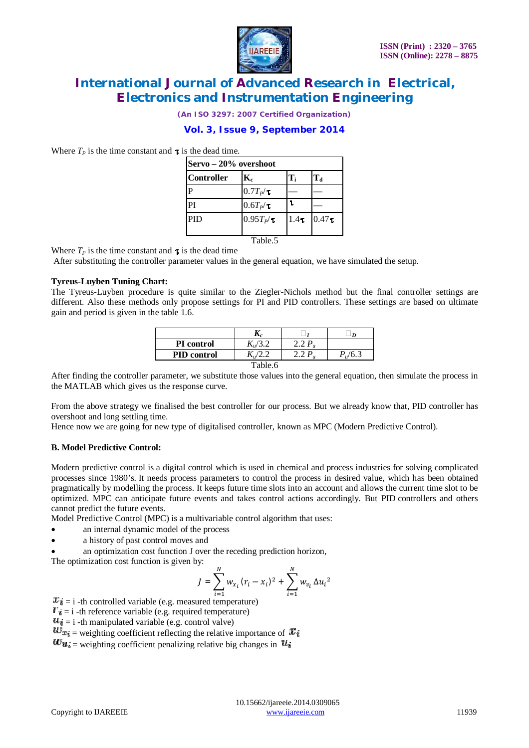

*(An ISO 3297: 2007 Certified Organization)*

# **Vol. 3, Issue 9, September 2014**

Where  $T_p$  is the time constant and  $\tau$  is the dead time.

| Servo – 20% overshoot |                  |                  |                   |  |
|-----------------------|------------------|------------------|-------------------|--|
| Controller            | $\mathbf{K}_{c}$ | $T_i$            | $T_d$             |  |
| $\mathbf P$           | $0.7T_P/T$       |                  |                   |  |
| PI                    | $0.6T_P$ /       | ι                |                   |  |
| <b>PID</b>            | $0.95T_{P}$ /    | 1.4 <sub>T</sub> | 0.47 <sub>T</sub> |  |
| Table <sub>5</sub>    |                  |                  |                   |  |

Where  $T_P$  is the time constant and  $\tau$  is the dead time

After substituting the controller parameter values in the general equation, we have simulated the setup.

### **Tyreus-Luyben Tuning Chart:**

The Tyreus-Luyben procedure is quite similar to the Ziegler-Nichols method but the final controller settings are different. Also these methods only propose settings for PI and PID controllers. These settings are based on ultimate gain and period is given in the table 1.6.

| <b>PI</b> control  |  |  |      |
|--------------------|--|--|------|
| <b>PID</b> control |  |  | '6.3 |
| Table.6            |  |  |      |

After finding the controller parameter, we substitute those values into the general equation, then simulate the process in the MATLAB which gives us the response curve.

From the above strategy we finalised the best controller for our process. But we already know that, PID controller has overshoot and long settling time.

Hence now we are going for new type of digitalised controller, known as MPC (Modern Predictive Control).

### **B. Model Predictive Control:**

Modern predictive control is a digital control which is used in chemical and process industries for solving complicated processes since 1980's. It needs process parameters to control the process in desired value, which has been obtained pragmatically by modelling the process. It keeps future time slots into an account and allows the current time slot to be optimized. MPC can anticipate future events and takes control actions accordingly. But PID controllers and others cannot predict the future events.

Model Predictive Control (MPC) is a multivariable control algorithm that uses:

- an internal dynamic model of the process
- a history of past control moves and
- an optimization cost function J over the receding prediction horizon,

The optimization cost function is given by:

$$
J = \sum_{i=1}^{N} w_{x_i} (r_i - x_i)^2 + \sum_{i=1}^{N} w_{v_i} \Delta u_i^2
$$

ୀଵ = i -th controlled variable (e.g. measured temperature)

- $T_{\vec{a}} = i$  -th reference variable (e.g. required temperature)
- $u_{\tilde{i}} = i$  -th manipulated variable (e.g. control valve)

 $w_{x_i}$  = weighting coefficient reflecting the relative importance of  $x_i$ 

 $\boldsymbol{w}_{u_i}$  = weighting coefficient penalizing relative big changes in  $\boldsymbol{u}_i$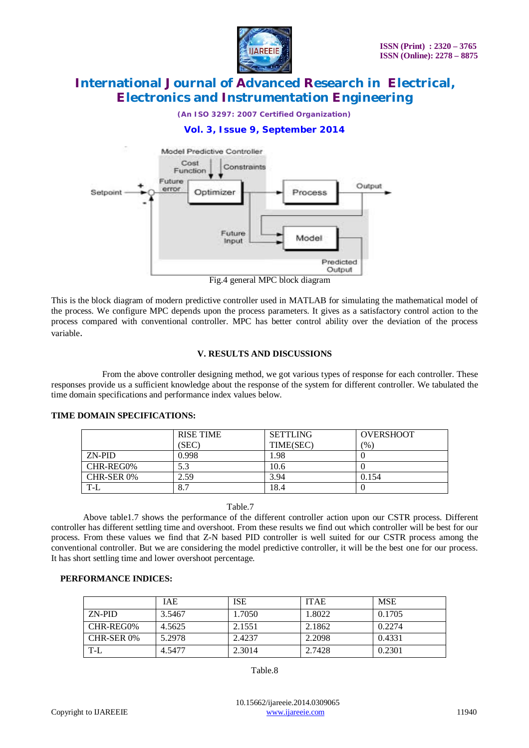

*(An ISO 3297: 2007 Certified Organization)*

# **Vol. 3, Issue 9, September 2014**



Fig.4 general MPC block diagram

This is the block diagram of modern predictive controller used in MATLAB for simulating the mathematical model of the process. We configure MPC depends upon the process parameters. It gives as a satisfactory control action to the process compared with conventional controller. MPC has better control ability over the deviation of the process variable.

### **V. RESULTS AND DISCUSSIONS**

 From the above controller designing method, we got various types of response for each controller. These responses provide us a sufficient knowledge about the response of the system for different controller. We tabulated the time domain specifications and performance index values below.

|            | <b>RISE TIME</b> | <b>SETTLING</b> | <b>OVERSHOOT</b> |
|------------|------------------|-----------------|------------------|
|            | (SEC)            | TIME(SEC)       | (9/0)            |
| ZN-PID     | 0.998            | 1.98            |                  |
| CHR-REG0%  | 5.3              | 10.6            |                  |
| CHR-SER 0% | 2.59             | 3.94            | 0.154            |
| $T-I$      | 8.7              | 18.4            |                  |

### **TIME DOMAIN SPECIFICATIONS:**

Table.7

Above table1.7 shows the performance of the different controller action upon our CSTR process. Different controller has different settling time and overshoot. From these results we find out which controller will be best for our process. From these values we find that Z-N based PID controller is well suited for our CSTR process among the conventional controller. But we are considering the model predictive controller, it will be the best one for our process. It has short settling time and lower overshoot percentage.

### **PERFORMANCE INDICES:**

|            | <b>IAE</b> | <b>ISE</b> | <b>ITAE</b> | <b>MSE</b> |
|------------|------------|------------|-------------|------------|
| ZN-PID     | 3.5467     | 1.7050     | 1.8022      | 0.1705     |
| CHR-REG0%  | 4.5625     | 2.1551     | 2.1862      | 0.2274     |
| CHR-SER 0% | 5.2978     | 2.4237     | 2.2098      | 0.4331     |
| T-L        | 4.5477     | 2.3014     | 2.7428      | 0.2301     |

Table.8